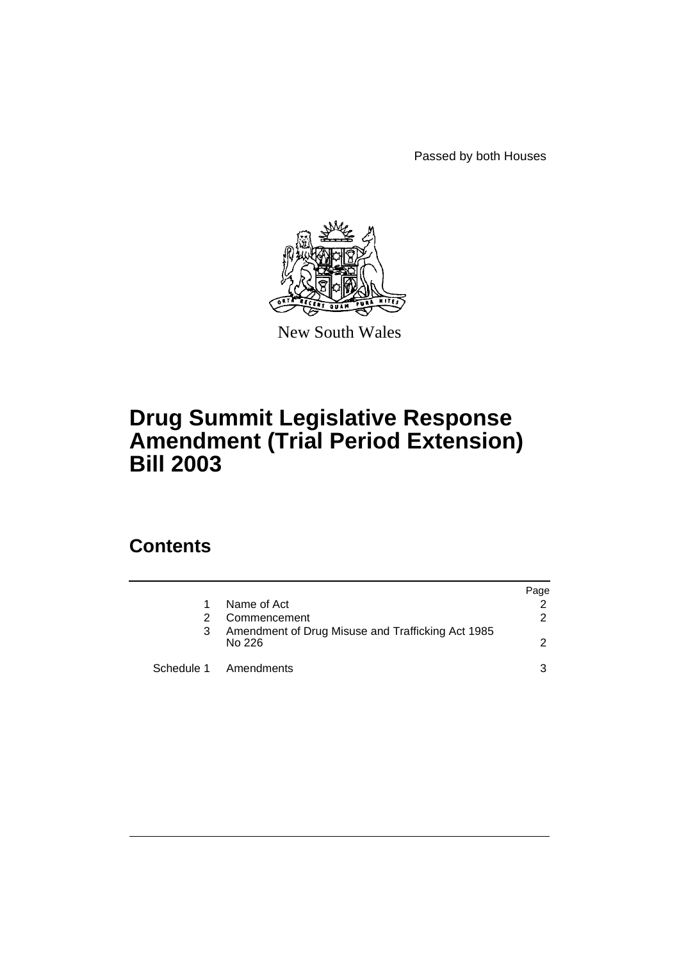Passed by both Houses



New South Wales

# **Drug Summit Legislative Response Amendment (Trial Period Extension) Bill 2003**

## **Contents**

|   |                                                             | Page          |
|---|-------------------------------------------------------------|---------------|
|   | Name of Act                                                 | $\mathcal{P}$ |
|   | Commencement                                                | $\mathcal{P}$ |
| 3 | Amendment of Drug Misuse and Trafficking Act 1985<br>No 226 | $\mathcal{P}$ |
|   | Schedule 1 Amendments                                       | 3             |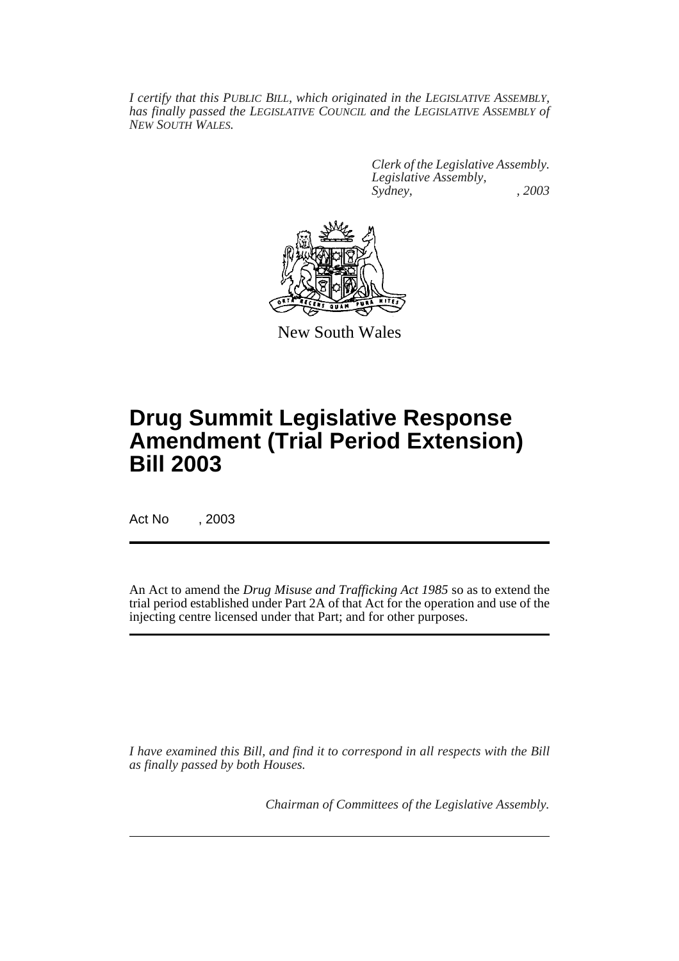*I certify that this PUBLIC BILL, which originated in the LEGISLATIVE ASSEMBLY, has finally passed the LEGISLATIVE COUNCIL and the LEGISLATIVE ASSEMBLY of NEW SOUTH WALES.*

> *Clerk of the Legislative Assembly. Legislative Assembly, Sydney, , 2003*



New South Wales

# **Drug Summit Legislative Response Amendment (Trial Period Extension) Bill 2003**

Act No , 2003

An Act to amend the *Drug Misuse and Trafficking Act 1985* so as to extend the trial period established under Part 2A of that Act for the operation and use of the injecting centre licensed under that Part; and for other purposes.

*I have examined this Bill, and find it to correspond in all respects with the Bill as finally passed by both Houses.*

*Chairman of Committees of the Legislative Assembly.*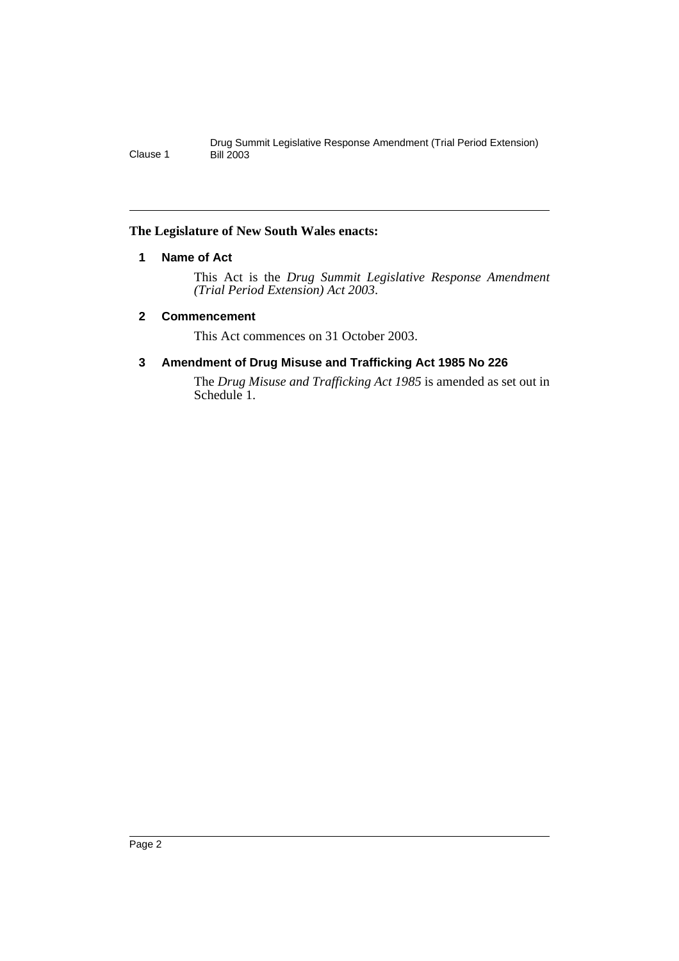### **The Legislature of New South Wales enacts:**

### **1 Name of Act**

This Act is the *Drug Summit Legislative Response Amendment (Trial Period Extension) Act 2003*.

### **2 Commencement**

This Act commences on 31 October 2003.

### **3 Amendment of Drug Misuse and Trafficking Act 1985 No 226**

The *Drug Misuse and Trafficking Act 1985* is amended as set out in Schedule 1.